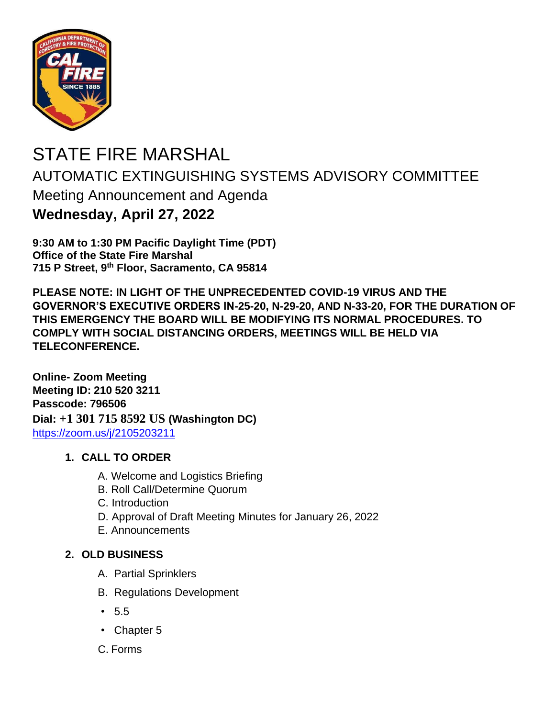

# STATE FIRE MARSHAL AUTOMATIC EXTINGUISHING SYSTEMS ADVISORY COMMITTEE Meeting Announcement and Agenda **Wednesday, April 27, 2022**

**9:30 AM to 1:30 PM Pacific Daylight Time (PDT) Office of the State Fire Marshal 715 P Street, 9 th Floor, Sacramento, CA 95814**

**PLEASE NOTE: IN LIGHT OF THE UNPRECEDENTED COVID-19 VIRUS AND THE GOVERNOR'S EXECUTIVE ORDERS IN-25-20, N-29-20, AND N-33-20, FOR THE DURATION OF THIS EMERGENCY THE BOARD WILL BE MODIFYING ITS NORMAL PROCEDURES. TO COMPLY WITH SOCIAL DISTANCING ORDERS, MEETINGS WILL BE HELD VIA TELECONFERENCE.**

**Online- Zoom Meeting Meeting ID: 210 520 3211 Passcode: 796506 Dial: +1 301 715 8592 US (Washington DC)** <https://zoom.us/j/2105203211>

### **1. CALL TO ORDER**

- A. Welcome and Logistics Briefing
- B. Roll Call/Determine Quorum
- C. Introduction
- D. Approval of Draft Meeting Minutes for January 26, 2022
- E. Announcements

## **2. OLD BUSINESS**

- A. Partial Sprinklers
- B. Regulations Development
- 5.5
- Chapter 5
- C. Forms